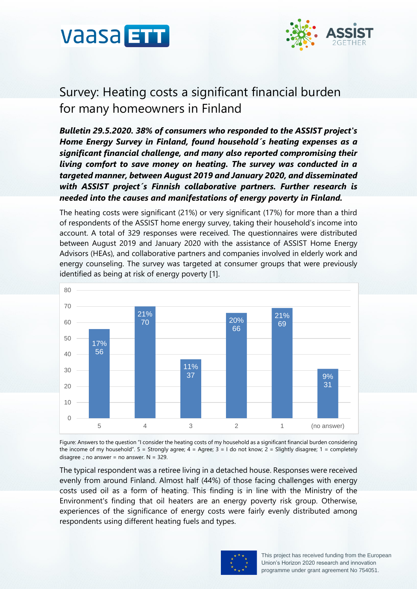



# Survey: Heating costs a significant financial burden for many homeowners in Finland

*Bulletin 29.5.2020. 38% of consumers who responded to the ASSIST project's Home Energy Survey in Finland, found household´s heating expenses as a significant financial challenge, and many also reported compromising their living comfort to save money on heating. The survey was conducted in a targeted manner, between August 2019 and January 2020, and disseminated with ASSIST project´s Finnish collaborative partners. Further research is needed into the causes and manifestations of energy poverty in Finland.*

The heating costs were significant (21%) or very significant (17%) for more than a third of respondents of the ASSIST home energy survey, taking their household's income into account. A total of 329 responses were received. The questionnaires were distributed between August 2019 and January 2020 with the assistance of ASSIST Home Energy Advisors (HEAs), and collaborative partners and companies involved in elderly work and energy counseling. The survey was targeted at consumer groups that were previously identified as being at risk of energy poverty [1].



Figure: Answers to the question "I consider the heating costs of my household as a significant financial burden considering the income of my household".  $5 =$  Strongly agree;  $4 =$  Agree;  $3 = 1$  do not know;  $2 =$  Slightly disagree;  $1 =$  completely disagree .; no answer = no answer.  $N = 329$ .

The typical respondent was a retiree living in a detached house. Responses were received evenly from around Finland. Almost half (44%) of those facing challenges with energy costs used oil as a form of heating. This finding is in line with the Ministry of the Environment's finding that oil heaters are an energy poverty risk group. Otherwise, experiences of the significance of energy costs were fairly evenly distributed among respondents using different heating fuels and types.

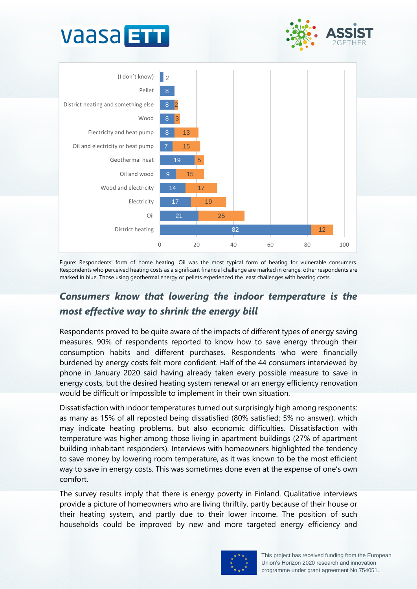



Figure: Respondents' form of home heating. Oil was the most typical form of heating for vulnerable consumers. Respondents who perceived heating costs as a significant financial challenge are marked in orange, other respondents are marked in blue. Those using geothermal energy or pellets experienced the least challenges with heating costs.

## *Consumers know that lowering the indoor temperature is the most effective way to shrink the energy bill*

Respondents proved to be quite aware of the impacts of different types of energy saving measures. 90% of respondents reported to know how to save energy through their consumption habits and different purchases. Respondents who were financially burdened by energy costs felt more confident. Half of the 44 consumers interviewed by phone in January 2020 said having already taken every possible measure to save in energy costs, but the desired heating system renewal or an energy efficiency renovation would be difficult or impossible to implement in their own situation.

Dissatisfaction with indoor temperatures turned out surprisingly high among responents: as many as 15% of all reposted being dissatisfied (80% satisfied; 5% no answer), which may indicate heating problems, but also economic difficulties. Dissatisfaction with temperature was higher among those living in apartment buildings (27% of apartment building inhabitant responders). Interviews with homeowners highlighted the tendency to save money by lowering room temperature, as it was known to be the most efficient way to save in energy costs. This was sometimes done even at the expense of one's own comfort.

The survey results imply that there is energy poverty in Finland. Qualitative interviews provide a picture of homeowners who are living thriftily, partly because of their house or their heating system, and partly due to their lower income. The position of such households could be improved by new and more targeted energy efficiency and

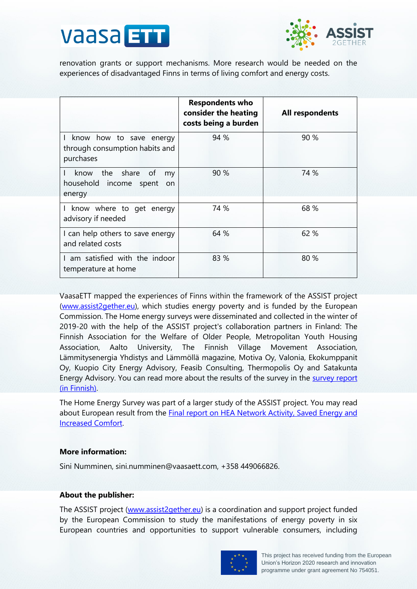



renovation grants or support mechanisms. More research would be needed on the experiences of disadvantaged Finns in terms of living comfort and energy costs.

|                                                                                   | <b>Respondents who</b><br>consider the heating<br>costs being a burden | All respondents |
|-----------------------------------------------------------------------------------|------------------------------------------------------------------------|-----------------|
| I know how to save energy<br>through consumption habits and<br>purchases          | 94 %                                                                   | 90 %            |
| know the share of<br>$\mathbf{L}$<br>my<br>household income spent<br>on<br>energy | 90 %                                                                   | 74 %            |
| I know where to get energy<br>advisory if needed                                  | 74 %                                                                   | 68 %            |
| I can help others to save energy<br>and related costs                             | 64 %                                                                   | 62 %            |
| I am satisfied with the indoor<br>temperature at home                             | 83 %                                                                   | 80 %            |

VaasaETT mapped the experiences of Finns within the framework of the ASSIST project [\(www.assist2gether.eu\)](file:///C:/Users/SiniNumminen/AppData/Local/Microsoft/Windows/INetCache/Content.Outlook/RAXCN2K2/www.assist2gether.eu), which studies energy poverty and is funded by the European Commission. The Home energy surveys were disseminated and collected in the winter of 2019-20 with the help of the ASSIST project's collaboration partners in Finland: The Finnish Association for the Welfare of Older People, Metropolitan Youth Housing Association, Aalto University, The Finnish Village Movement Association, Lämmitysenergia Yhdistys and Lämmöllä magazine, Motiva Oy, Valonia, Ekokumppanit Oy, Kuopio City Energy Advisory, Feasib Consulting, Thermopolis Oy and Satakunta Energy Advisory. You can read more about the results of the survey in the [survey report](https://www.assist2gether.eu/documenti/news/kyselytutkimusraportti_assist_energiakysely2019.pdf) (in Finnish).

The Home Energy Survey was part of a larger study of the ASSIST project. You may read about European result from the [Final report on HEA Network Activity, Saved Energy and](https://www.assist2gether.eu/documenti/risultati/d4_7_final_report_on_hea_network_activity_saved_energy_and_increased_comfort_level.pdf)  [Increased Comfort.](https://www.assist2gether.eu/documenti/risultati/d4_7_final_report_on_hea_network_activity_saved_energy_and_increased_comfort_level.pdf)

#### **More information:**

Sini Numminen, sini.numminen@vaasaett.com, +358 449066826.

#### **About the publisher:**

The ASSIST project [\(www.assist2gether.eu\)](file:///C:/Users/SiniNumminen/AppData/Local/Microsoft/Windows/INetCache/Content.Outlook/RAXCN2K2/www.assist2gether.eu) is a coordination and support project funded by the European Commission to study the manifestations of energy poverty in six European countries and opportunities to support vulnerable consumers, including

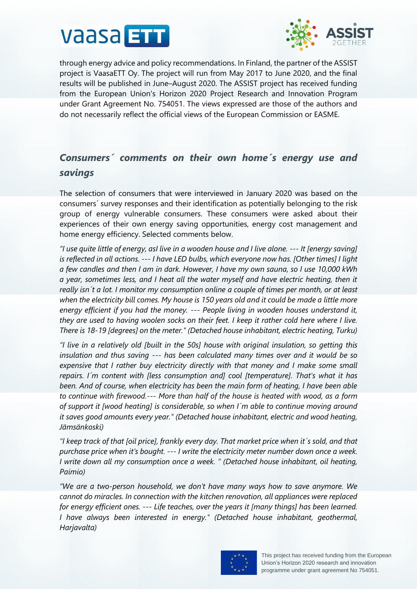



through energy advice and policy recommendations. In Finland, the partner of the ASSIST project is VaasaETT Oy. The project will run from May 2017 to June 2020, and the final results will be published in June–August 2020. The ASSIST project has received funding from the European Union's Horizon 2020 Project Research and Innovation Program under Grant Agreement No. 754051. The views expressed are those of the authors and do not necessarily reflect the official views of the European Commission or EASME.

### *Consumers´ comments on their own home´s energy use and savings*

The selection of consumers that were interviewed in January 2020 was based on the consumers´ survey responses and their identification as potentially belonging to the risk group of energy vulnerable consumers. These consumers were asked about their experiences of their own energy saving opportunities, energy cost management and home energy efficiency. Selected comments below.

*"I use quite little of energy, asI live in a wooden house and I live alone. --- It [energy saving] is reflected in all actions. --- I have LED bulbs, which everyone now has. [Other times] I light a few candles and then I am in dark. However, I have my own sauna, so I use 10,000 kWh a year, sometimes less, and I heat all the water myself and have electric heating, then it really isn´t a lot. I monitor my consumption online a couple of times per month, or at least when the electricity bill comes. My house is 150 years old and it could be made a little more energy efficient if you had the money. --- People living in wooden houses understand it, they are used to having woolen socks on their feet. I keep it rather cold here where I live. There is 18-19 [degrees] on the meter." (Detached house inhabitant, electric heating, Turku)*

*"I live in a relatively old [built in the 50s] house with original insulation, so getting this insulation and thus saving --- has been calculated many times over and it would be so expensive that I rather buy electricity directly with that money and I make some small repairs. I´m content with [less consumption and] cool [temperature]. That's what it has been. And of course, when electricity has been the main form of heating, I have been able to continue with firewood.--- More than half of the house is heated with wood, as a form of support it [wood heating] is considerable, so when I´m able to continue moving around it saves good amounts every year." (Detached house inhabitant, electric and wood heating, Jämsänkoski)*

*"I keep track of that [oil price], frankly every day. That market price when it´s sold, and that purchase price when it's bought. --- I write the electricity meter number down once a week. I write down all my consumption once a week. " (Detached house inhabitant, oil heating, Paimio)*

*"We are a two-person household, we don't have many ways how to save anymore. We cannot do miracles. In connection with the kitchen renovation, all appliances were replaced for energy efficient ones. --- Life teaches, over the years it [many things] has been learned. I have always been interested in energy." (Detached house inhabitant, geothermal, Harjavalta)*